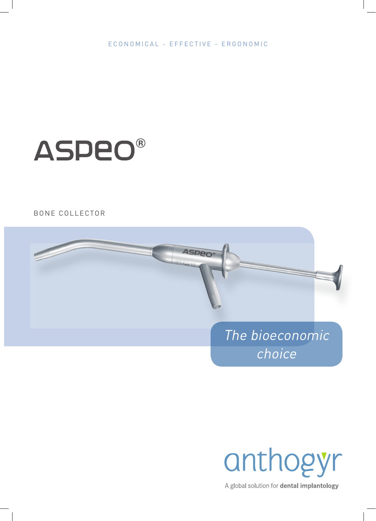ECONOMICAL - EFFECTIVE - ERGONOMIC

# **ASPEO®**

# **BONE COLLECTOR**



anthogyr

A global solution for dental implantology